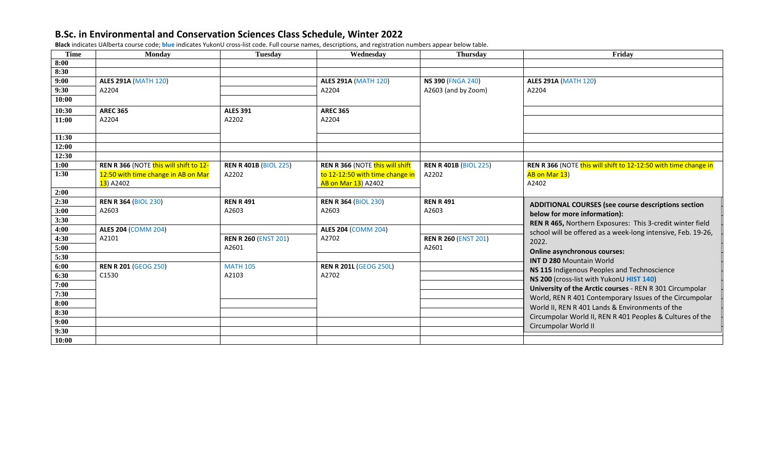**Black** indicates UAlberta course code; **blue** indicates YukonU cross-list code. Full course names, descriptions, and registration numbers appear below table.

| <b>Time</b> | <b>Monday</b>                          | <b>Tuesday</b>               | Wednesday                       | <b>Thursday</b>              | Friday                                                          |
|-------------|----------------------------------------|------------------------------|---------------------------------|------------------------------|-----------------------------------------------------------------|
| 8:00        |                                        |                              |                                 |                              |                                                                 |
| 8:30        |                                        |                              |                                 |                              |                                                                 |
| 9:00        | <b>ALES 291A (MATH 120)</b>            |                              | <b>ALES 291A (MATH 120)</b>     | <b>NS 390 (FNGA 240)</b>     | <b>ALES 291A (MATH 120)</b>                                     |
| 9:30        | A2204                                  |                              | A2204                           | A2603 (and by Zoom)          | A2204                                                           |
| 10:00       |                                        |                              |                                 |                              |                                                                 |
| 10:30       | <b>AREC 365</b>                        | <b>ALES 391</b>              | <b>AREC 365</b>                 |                              |                                                                 |
| 11:00       | A2204                                  | A2202                        | A2204                           |                              |                                                                 |
|             |                                        |                              |                                 |                              |                                                                 |
| 11:30       |                                        |                              |                                 |                              |                                                                 |
| 12:00       |                                        |                              |                                 |                              |                                                                 |
| 12:30       |                                        |                              |                                 |                              |                                                                 |
| 1:00        | REN R 366 (NOTE this will shift to 12- | <b>REN R 401B (BIOL 225)</b> | REN R 366 (NOTE this will shift | <b>REN R 401B (BIOL 225)</b> | REN R 366 (NOTE this will shift to 12-12:50 with time change in |
| 1:30        | 12:50 with time change in AB on Mar    | A2202                        | to 12-12:50 with time change in | A2202                        | AB on Mar 13)                                                   |
|             | <mark>13</mark> ) A2402                |                              | AB on Mar 13) A2402             |                              | A2402                                                           |
| 2:00        |                                        |                              |                                 |                              |                                                                 |
| 2:30        | <b>REN R 364 (BIOL 230)</b>            | <b>REN R 491</b>             | <b>REN R 364 (BIOL 230)</b>     | <b>REN R 491</b>             | ADDITIONAL COURSES (see course descriptions section             |
| 3:00        | A2603                                  | A2603                        | A2603                           | A2603                        | below for more information):                                    |
| 3:30        |                                        |                              |                                 |                              | REN R 465, Northern Exposures: This 3-credit winter field       |
| 4:00        | <b>ALES 204 (COMM 204)</b>             |                              | <b>ALES 204 (COMM 204)</b>      |                              | school will be offered as a week-long intensive, Feb. 19-26,    |
| 4:30        | A2101                                  | <b>REN R 260 (ENST 201)</b>  | A2702                           | <b>REN R 260 (ENST 201)</b>  | 2022.                                                           |
| 5:00        |                                        | A2601                        |                                 | A2601                        | <b>Online asynchronous courses:</b>                             |
| 5:30        |                                        |                              |                                 |                              | <b>INT D 280 Mountain World</b>                                 |
| 6:00        | <b>REN R 201 (GEOG 250)</b>            | <b>MATH 105</b>              | <b>REN R 201L (GEOG 250L)</b>   |                              | NS 115 Indigenous Peoples and Technoscience                     |
| 6:30        | C1530                                  | A2103                        | A2702                           |                              | NS 200 (cross-list with YukonU HIST 140)                        |
| 7:00        |                                        |                              |                                 |                              | University of the Arctic courses - REN R 301 Circumpolar        |
| 7:30        |                                        |                              |                                 |                              |                                                                 |
| 8:00        |                                        |                              |                                 |                              | World, REN R 401 Contemporary Issues of the Circumpolar         |
| 8:30        |                                        |                              |                                 |                              | World II, REN R 401 Lands & Environments of the                 |
| 9:00        |                                        |                              |                                 |                              | Circumpolar World II, REN R 401 Peoples & Cultures of the       |
| 9:30        |                                        |                              |                                 |                              | Circumpolar World II                                            |
| 10:00       |                                        |                              |                                 |                              |                                                                 |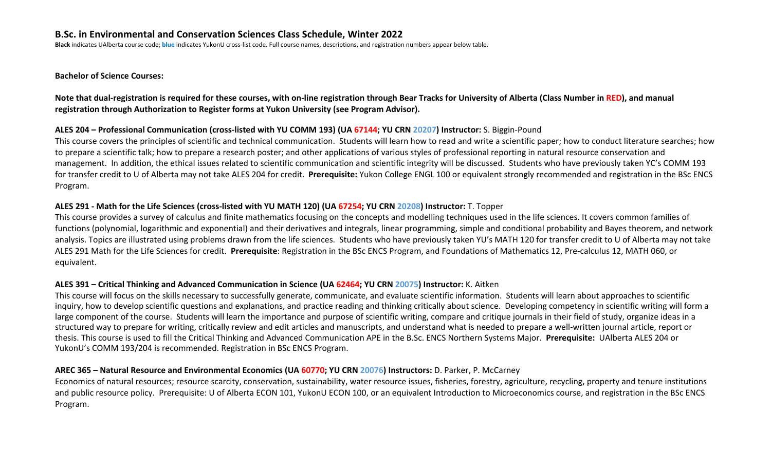**Black** indicates UAlberta course code; **blue** indicates YukonU cross-list code. Full course names, descriptions, and registration numbers appear below table.

**Bachelor of Science Courses:**

**Note that dual-registration is required for these courses, with on-line registration through Bear Tracks for University of Alberta (Class Number in RED), and manual registration through Authorization to Register forms at Yukon University (see Program Advisor).** 

## **ALES 204 – Professional Communication (cross-listed with YU COMM 193) (UA 67144; YU CRN 20207) Instructor:** S. Biggin-Pound

This course covers the principles of scientific and technical communication. Students will learn how to read and write a scientific paper; how to conduct literature searches; how to prepare a scientific talk; how to prepare a research poster; and other applications of various styles of professional reporting in natural resource conservation and management. In addition, the ethical issues related to scientific communication and scientific integrity will be discussed. Students who have previously taken YC's COMM 193 for transfer credit to U of Alberta may not take ALES 204 for credit. **Prerequisite:** Yukon College ENGL 100 or equivalent strongly recommended and registration in the BSc ENCS Program.

## **ALES 291 - Math for the Life Sciences (cross-listed with YU MATH 120) (UA 67254; YU CRN 20208) Instructor:** T. Topper

This course provides a survey of calculus and finite mathematics focusing on the concepts and modelling techniques used in the life sciences. It covers common families of functions (polynomial, logarithmic and exponential) and their derivatives and integrals, linear programming, simple and conditional probability and Bayes theorem, and network analysis. Topics are illustrated using problems drawn from the life sciences. Students who have previously taken YU's MATH 120 for transfer credit to U of Alberta may not take ALES 291 Math for the Life Sciences for credit. **Prerequisite**: Registration in the BSc ENCS Program, and Foundations of Mathematics 12, Pre-calculus 12, MATH 060, or equivalent.

## **ALES 391 – Critical Thinking and Advanced Communication in Science (UA 62464; YU CRN 20075) Instructor:** K. Aitken

This course will focus on the skills necessary to successfully generate, communicate, and evaluate scientific information. Students will learn about approaches to scientific inquiry, how to develop scientific questions and explanations, and practice reading and thinking critically about science. Developing competency in scientific writing will form a large component of the course. Students will learn the importance and purpose of scientific writing, compare and critique journals in their field of study, organize ideas in a structured way to prepare for writing, critically review and edit articles and manuscripts, and understand what is needed to prepare a well-written journal article, report or thesis. This course is used to fill the Critical Thinking and Advanced Communication APE in the B.Sc. ENCS Northern Systems Major. **Prerequisite:** UAlberta ALES 204 or YukonU's COMM 193/204 is recommended. Registration in BSc ENCS Program.

## **AREC 365 – Natural Resource and Environmental Economics (UA 60770; YU CRN 20076) Instructors:** D. Parker, P. McCarney

Economics of natural resources; resource scarcity, conservation, sustainability, water resource issues, fisheries, forestry, agriculture, recycling, property and tenure institutions and public resource policy. Prerequisite: U of Alberta ECON 101, YukonU ECON 100, or an equivalent Introduction to Microeconomics course, and registration in the BSc ENCS Program.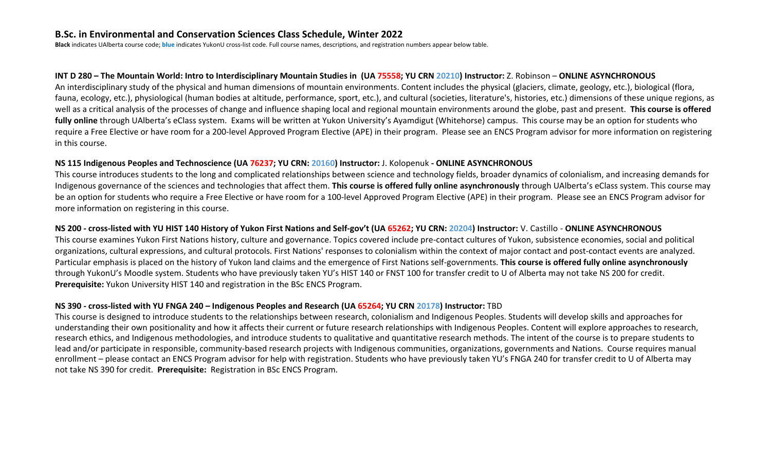**Black** indicates UAlberta course code; **blue** indicates YukonU cross-list code. Full course names, descriptions, and registration numbers appear below table.

#### **INT D 280 – The Mountain World: Intro to Interdisciplinary Mountain Studies in (UA 75558; YU CRN 20210) Instructor:** Z. Robinson – **ONLINE ASYNCHRONOUS**

An interdisciplinary study of the physical and human dimensions of mountain environments. Content includes the physical (glaciers, climate, geology, etc.), biological (flora, fauna, ecology, etc.), physiological (human bodies at altitude, performance, sport, etc.), and cultural (societies, literature's, histories, etc.) dimensions of these unique regions, as well as a critical analysis of the processes of change and influence shaping local and regional mountain environments around the globe, past and present. **This course is offered fully online** through UAlberta's eClass system. Exams will be written at Yukon University's Ayamdigut (Whitehorse) campus. This course may be an option for students who require a Free Elective or have room for a 200-level Approved Program Elective (APE) in their program. Please see an ENCS Program advisor for more information on registering in this course.

#### **NS 115 Indigenous Peoples and Technoscience (UA 76237; YU CRN: 20160) Instructor:** J. Kolopenuk **- ONLINE ASYNCHRONOUS**

This course introduces students to the long and complicated relationships between science and technology fields, broader dynamics of colonialism, and increasing demands for Indigenous governance of the sciences and technologies that affect them. **This course is offered fully online asynchronously** through UAlberta's eClass system. This course may be an option for students who require a Free Elective or have room for a 100-level Approved Program Elective (APE) in their program. Please see an ENCS Program advisor for more information on registering in this course.

## NS 200 - cross-listed with YU HIST 140 History of Yukon First Nations and Self-gov't (UA 65262; YU CRN: 20204) Instructor: V. Castillo - ONLINE ASYNCHRONOUS

This course examines Yukon First Nations history, culture and governance. Topics covered include pre-contact cultures of Yukon, subsistence economies, social and political organizations, cultural expressions, and cultural protocols. First Nations' responses to colonialism within the context of major contact and post-contact events are analyzed. Particular emphasis is placed on the history of Yukon land claims and the emergence of First Nations self-governments. **This course is offered fully online asynchronously** through YukonU's Moodle system. Students who have previously taken YU's HIST 140 or FNST 100 for transfer credit to U of Alberta may not take NS 200 for credit. **Prerequisite:** Yukon University HIST 140 and registration in the BSc ENCS Program.

## **NS 390 - cross-listed with YU FNGA 240 – Indigenous Peoples and Research (UA 65264; YU CRN 20178) Instructor:** TBD

This course is designed to introduce students to the relationships between research, colonialism and Indigenous Peoples. Students will develop skills and approaches for understanding their own positionality and how it affects their current or future research relationships with Indigenous Peoples. Content will explore approaches to research, research ethics, and Indigenous methodologies, and introduce students to qualitative and quantitative research methods. The intent of the course is to prepare students to lead and/or participate in responsible, community-based research projects with Indigenous communities, organizations, governments and Nations. Course requires manual enrollment – please contact an ENCS Program advisor for help with registration. Students who have previously taken YU's FNGA 240 for transfer credit to U of Alberta may not take NS 390 for credit. **Prerequisite:** Registration in BSc ENCS Program.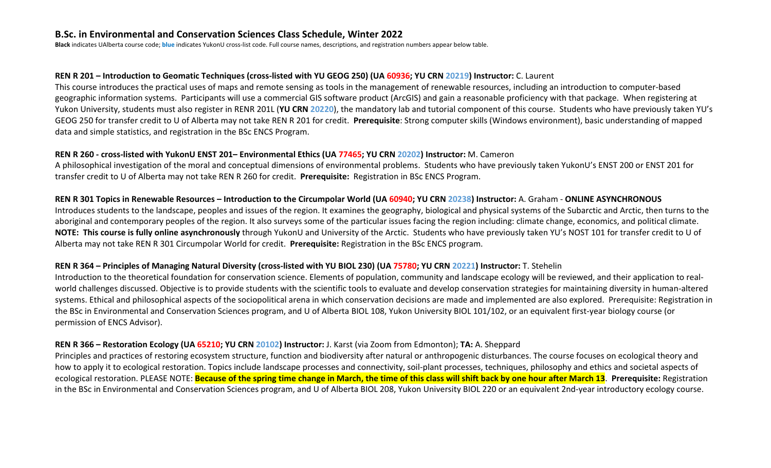**Black** indicates UAlberta course code; **blue** indicates YukonU cross-list code. Full course names, descriptions, and registration numbers appear below table.

#### **REN R 201 – Introduction to Geomatic Techniques (cross-listed with YU GEOG 250) (UA 60936; YU CRN 20219) Instructor:** C. Laurent

This course introduces the practical uses of maps and remote sensing as tools in the management of renewable resources, including an introduction to computer-based geographic information systems. Participants will use a commercial GIS software product (ArcGIS) and gain a reasonable proficiency with that package. When registering at Yukon University, students must also register in RENR 201L (**YU CRN 20220**), the mandatory lab and tutorial component of this course. Students who have previously taken YU's GEOG 250 for transfer credit to U of Alberta may not take REN R 201 for credit. **Prerequisite**: Strong computer skills (Windows environment), basic understanding of mapped data and simple statistics, and registration in the BSc ENCS Program.

#### **REN R 260 - cross-listed with YukonU ENST 201– Environmental Ethics (UA 77465; YU CRN 20202) Instructor:** M. Cameron

A philosophical investigation of the moral and conceptual dimensions of environmental problems. Students who have previously taken YukonU's ENST 200 or ENST 201 for transfer credit to U of Alberta may not take REN R 260 for credit. **Prerequisite:** Registration in BSc ENCS Program.

## **REN R 301 Topics in Renewable Resources – Introduction to the Circumpolar World (UA 60940; YU CRN 20238) Instructor:** A. Graham - **ONLINE ASYNCHRONOUS**

Introduces students to the landscape, peoples and issues of the region. It examines the geography, biological and physical systems of the Subarctic and Arctic, then turns to the aboriginal and contemporary peoples of the region. It also surveys some of the particular issues facing the region including: climate change, economics, and political climate. **NOTE: This course is fully online asynchronously** through YukonU and University of the Arctic. Students who have previously taken YU's NOST 101 for transfer credit to U of Alberta may not take REN R 301 Circumpolar World for credit. **Prerequisite:** Registration in the BSc ENCS program.

## **REN R 364 – Principles of Managing Natural Diversity (cross-listed with YU BIOL 230) (UA 75780; YU CRN 20221) Instructor:** T. Stehelin

Introduction to the theoretical foundation for conservation science. Elements of population, community and landscape ecology will be reviewed, and their application to realworld challenges discussed. Objective is to provide students with the scientific tools to evaluate and develop conservation strategies for maintaining diversity in human-altered systems. Ethical and philosophical aspects of the sociopolitical arena in which conservation decisions are made and implemented are also explored. Prerequisite: Registration in the BSc in Environmental and Conservation Sciences program, and U of Alberta BIOL 108, Yukon University BIOL 101/102, or an equivalent first-year biology course (or permission of ENCS Advisor).

## **REN R 366 – Restoration Ecology (UA 65210; YU CRN 20102) Instructor:** J. Karst (via Zoom from Edmonton); **TA:** A. Sheppard

Principles and practices of restoring ecosystem structure, function and biodiversity after natural or anthropogenic disturbances. The course focuses on ecological theory and how to apply it to ecological restoration. Topics include landscape processes and connectivity, soil-plant processes, techniques, philosophy and ethics and societal aspects of ecological restoration. PLEASE NOTE: **Because of the spring time change in March, the time of this class will shift back by one hour after March 13**. **Prerequisite:** Registration in the BSc in Environmental and Conservation Sciences program, and U of Alberta BIOL 208, Yukon University BIOL 220 or an equivalent 2nd-year introductory ecology course.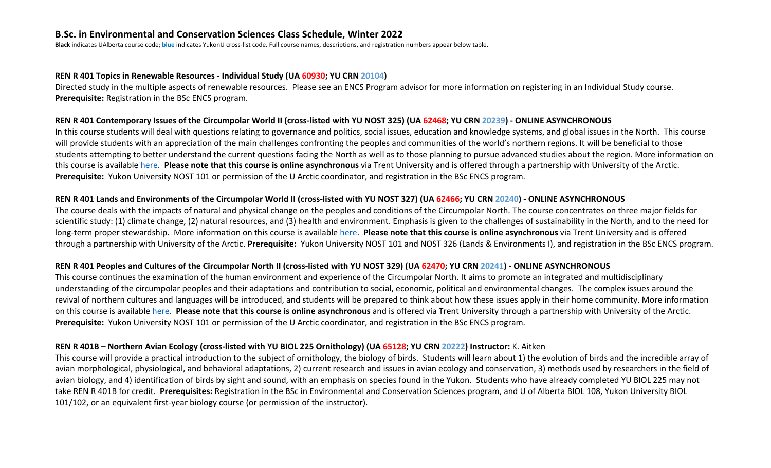**Black** indicates UAlberta course code; **blue** indicates YukonU cross-list code. Full course names, descriptions, and registration numbers appear below table.

#### **REN R 401 Topics in Renewable Resources - Individual Study (UA 60930; YU CRN 20104)**

Directed study in the multiple aspects of renewable resources. Please see an ENCS Program advisor for more information on registering in an Individual Study course. **Prerequisite:** Registration in the BSc ENCS program.

#### **REN R 401 Contemporary Issues of the Circumpolar World II (cross-listed with YU NOST 325) (UA 62468; YU CRN 20239) - ONLINE ASYNCHRONOUS**

In this course students will deal with questions relating to governance and politics, social issues, education and knowledge systems, and global issues in the North. This course will provide students with an appreciation of the main challenges confronting the peoples and communities of the world's northern regions. It will be beneficial to those students attempting to better understand the current questions facing the North as well as to those planning to pursue advanced studies about the region. More information on this course is available [here.](https://members.uarctic.org/participate/circumpolar-studies/course-materials/bcs-332-contemporary-issues-of-the-circumpolar-world-ii/) **Please note that this course is online asynchronous** via Trent University and is offered through a partnership with University of the Arctic. **Prerequisite:** Yukon University NOST 101 or permission of the U Arctic coordinator, and registration in the BSc ENCS program.

#### **REN R 401 Lands and Environments of the Circumpolar World II (cross-listed with YU NOST 327) (UA 62466; YU CRN 20240) - ONLINE ASYNCHRONOUS**

The course deals with the impacts of natural and physical change on the peoples and conditions of the Circumpolar North. The course concentrates on three major fields for scientific study: (1) climate change, (2) natural resources, and (3) health and environment. Emphasis is given to the challenges of sustainability in the North, and to the need for long-term proper stewardship. More information on this course is available [here.](https://members.uarctic.org/participate/circumpolar-studies/course-materials/bcs-312-land-and-environment-ii/) **Please note that this course is online asynchronous** via Trent University and is offered through a partnership with University of the Arctic. **Prerequisite:** Yukon University NOST 101 and NOST 326 (Lands & Environments I), and registration in the BSc ENCS program.

#### **REN R 401 Peoples and Cultures of the Circumpolar North II (cross-listed with YU NOST 329) (UA 62470; YU CRN 20241) - ONLINE ASYNCHRONOUS**

This course continues the examination of the human environment and experience of the Circumpolar North. It aims to promote an integrated and multidisciplinary understanding of the circumpolar peoples and their adaptations and contribution to social, economic, political and environmental changes. The complex issues around the revival of northern cultures and languages will be introduced, and students will be prepared to think about how these issues apply in their home community. More information on this course is available [here.](https://members.uarctic.org/participate/circumpolar-studies/course-materials/bcs-322-peoples-and-cultures-of-the-circumpolar-world-ii/) **Please note that this course is online asynchronous** and is offered via Trent University through a partnership with University of the Arctic. **Prerequisite:** Yukon University NOST 101 or permission of the U Arctic coordinator, and registration in the BSc ENCS program.

#### **REN R 401B – Northern Avian Ecology (cross-listed with YU BIOL 225 Ornithology) (UA 65128; YU CRN 20222) Instructor:** K. Aitken

This course will provide a practical introduction to the subject of ornithology, the biology of birds. Students will learn about 1) the evolution of birds and the incredible array of avian morphological, physiological, and behavioral adaptations, 2) current research and issues in avian ecology and conservation, 3) methods used by researchers in the field of avian biology, and 4) identification of birds by sight and sound, with an emphasis on species found in the Yukon. Students who have already completed YU BIOL 225 may not take REN R 401B for credit. **Prerequisites:** Registration in the BSc in Environmental and Conservation Sciences program, and U of Alberta BIOL 108, Yukon University BIOL 101/102, or an equivalent first-year biology course (or permission of the instructor).